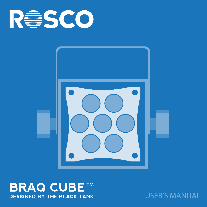



**BRAQ CUBE** 

USER'S MANUAL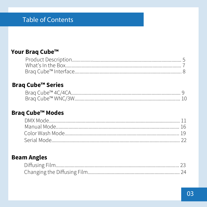# **Table of Contents**

#### Your Braq Cube™

#### **Braq Cube™ Series**

| Brag Cube™ 4C/4CA |  |
|-------------------|--|
|                   |  |

#### Braq Cube<sup>™</sup> Modes

#### **Beam Angles**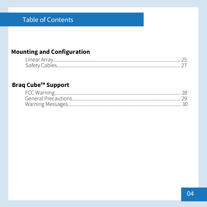# **Table of Contents**

## **Mounting and Configuration**

| Linear Array.  |  |
|----------------|--|
| Safety Cables. |  |

#### **Braq Cube™ Support**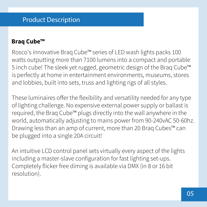## Product Description

#### **Braq Cube™**

Rosco's innovative Braq Cube™ series of LED wash lights packs 100 watts outputting more than 7100 lumens into a compact and portable 5 inch cube! The sleek yet rugged, geometric design of the Braq Cube™ is perfectly at home in entertainment environments, museums, stores and lobbies, built into sets, truss and lighting rigs of all styles.

These luminaires offer the flexibility and versatility needed for any type of lighting challenge. No expensive external power supply or ballast is required, the Braq Cube™ plugs directly into the wall anywhere in the world, automatically adjusting to mains power from 90-240vAC 50-60hz. Drawing less than an amp of current, more than 20 Braq Cubes™ can be plugged into a single 20A circuit!

An intuitive LCD control panel sets virtually every aspect of the lights including a master-slave configuration for fast lighting set-ups. Completely flicker free diming is available via DMX (in 8 or 16 bit resolution).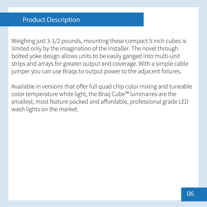Weighing just 3-1/2 pounds, mounting these compact 5 inch cubes is limited only by the imagination of the installer. The novel through bolted yoke design allows units to be easily ganged into multi-unit strips and arrays for greater output and coverage. With a simple cable jumper you can use Braqs to output power to the adjacent fixtures.

Available in versions that offer full quad chip color mixing and tuneable color temperature white light, the Braq Cube™ luminaires are the smallest, most feature packed and affordable, professional grade LED wash lights on the market.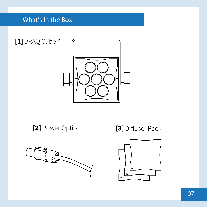# What's In the Box



**[2]** Power Option **[3]** Diffuser Pack



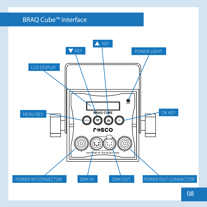## BRAQ Cube™ Interface

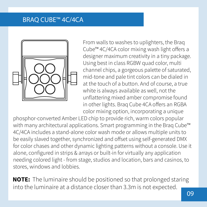## BRAQ CUBE™ 4C/4CA



From walls to washes to uplighters, the Braq Cube™ 4C/4CA color mixing wash light offers a designer maximum creativity in a tiny package. Using best in class RGBW quad color, multi channel chips, a gorgeous palette of saturated, mid-tone and pale tint colors can be dialed in at the touch of a button. And of course, a true white is always available as well, not the unflattering mixed amber compromise found in other lights. Brag Cube 4CA offers an RGBA color mixing option, incorporating a unique

phosphor-converted Amber LED chip to provide rich, warm colors popular with many architectural applications. Smart programming in the Braq Cube<sup>™</sup> 4C/4CA includes a stand-alone color wash mode or allows multiple units to be easily slaved together, synchronized and offset using self-generated DMX for color chases and other dynamic lighting patterns without a console. Use it alone, configured in strips & arrays or built-in for virtually any application needing colored light - from stage, studios and location, bars and casinos, to stores, windows and lobbies.

**NOTE:** The luminaire should be positioned so that prolonged staring into the luminaire at a distance closer than 3.3m is not expected.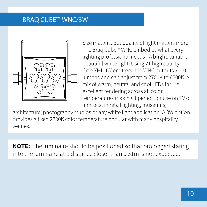## BRAQ CUBE™ WNC/3W



Size matters. But quality of light matters more! The Braq Cube™ WNC embodies what every lighting professional needs - A bright, tunable, beautiful white light. Using 21 high quality Cree XML 4W emitters, the WNC outputs 7100 lumens and can adjust from 2700K to 6500K. A mix of warm, neutral and cool LEDs insure excellent rendering across all color temperatures making it perfect for use on TV or film sets, in retail lighting, museums,

architecture, photography studios or any white light application. A 3W option provides a fixed 2700K color temperature popular with many hospitality venues.

**NOTE:** The luminaire should be positioned so that prolonged staring into the luminaire at a distance closer than 0.31m is not expected.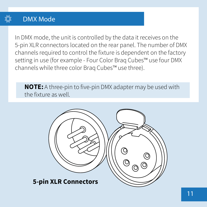

In DMX mode, the unit is controlled by the data it receives on the 5-pin XLR connectors located on the rear panel. The number of DMX channels required to control the fixture is dependent on the factory setting in use (for example - Four Color Braq Cubes™ use four DMX channels while three color Braq Cubes™ use three).

**NOTE:** A three-pin to five-pin DMX adapter may be used with the fixture as well.

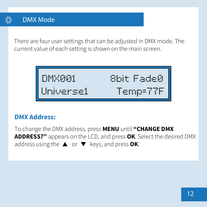# DMX Mode

There are four user settings that can be adjusted in DMX mode. The current value of each setting is shown on the main screen.

DMX001 8bit Fade0 Universe1 Temp=77F

## **DMX Address:**

address using the  $\blacktriangle$  or  $\nabla$  keys, and press **OK**. To change the DMX address, press **MENU** until **"CHANGE DMX ADDRESS?"** appears on the LCD, and press **OK**. Select the desired DMX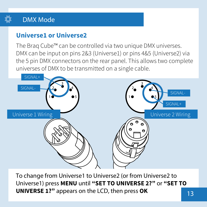# DMX Mode

# **Universe1 or Universe2**

The Braq Cube™ can be controlled via two unique DMX universes. DMX can be input on pins 2&3 (Universe1) or pins 4&5 (Universe2) via the 5 pin DMX connectors on the rear panel. This allows two complete universes of DMX to be transmitted on a single cable.



To change from Universe1 to Universe2 (or from Universe2 to Universe1) press **MENU** until **"SET TO UNIVERSE 2?"** or **"SET TO UNIVERSE 1?"** appears on the LCD, then press **OK**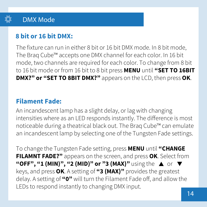# DMX Mode

# **8 bit or 16 bit DMX:**

The fixture can run in either 8 bit or 16 bit DMX mode. In 8 bit mode, The Braq Cube™ accepts one DMX channel for each color. In 16 bit mode, two channels are required for each color. To change from 8 bit to 16 bit mode or from 16 bit to 8 bit press **MENU** until **"SET TO 16BIT DMX?" or "SET TO 8BIT DMX?"** appears on the LCD, then press **OK**.

# **Filament Fade:**

An incandescent lamp has a slight delay, or lag with changing intensities where as an LED responds instantly. The difference is most noticeable during a theatrical black out. The Braq Cube™ can emulate an incandescent lamp by selecting one of the Tungsten Fade settings.

To change the Tungsten Fade setting, press **MENU** until **"CHANGE FILAMNT FADE?"** appears on the screen, and press **OK**. Select from "OFF", "1 (MIN)", "2 (MID)" or "3 (MAX)" using the  $\blacktriangle$  or  $\nabla$ keys, and press **OK**. A setting of **"3 (MAX)"** provides the greatest delay. A setting of "0" will turn the Filament Fade off, and allow the LEDs to respond instantly to changing DMX input.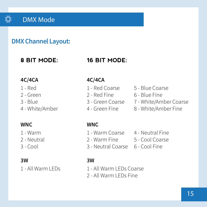

## **DMX Channel Layout:**

## **8 BIT MODE:**

#### **16 BIT MODE:**

#### **4C/4CA**

- 1 Red
- 2 Green
- 3 Blue
- 4 White/Amber

#### **WNC**

- 1 Warm
- 2 Neutral
- 3 Cool

#### **3W**

1 - All Warm LEDs

#### **4C/4CA**

- 
- 
- 
- 4 Green Fine
- 1 Red Coarse 5 Blue Coarse
- 2 Red Fine 6 Blue Fine
- 3 Green Coarse 7 White/Amber Coarse
	- 8 White/Amber Fine

#### **WNC**

- 
- 
- 
- 1 Warm Coarse 4 Neutral Fine
- 2 Warm Fine 5 Cool Coarse
- 3 Neutral Coarse 6 Cool Fine

#### **3W**

- 1 All Warm LEDs Coarse
- 2 All Warm LEDs Fine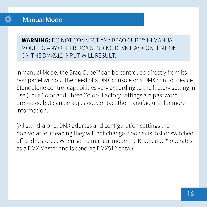**WARNING:** DO NOT CONNECT ANY BRAQ CUBE™ IN MANUAL MODE TO ANY OTHER DMX SENDING DEVICE AS CONTENTION ON THE DMX512 INPUT WILL RESULT.

In Manual Mode, the Braq Cube™ can be controlled directly from its rear panel without the need of a DMX console or a DMX control device. Standalone control capabilities vary according to the factory setting in use (Four Color and Three Color). Factory settings are password protected but can be adjusted. Contact the manufacturer for more information.

(All stand-alone, DMX address and configuration settings are non-volatile, meaning they will not change if power is lost or switched off and restored. When set to manual mode the Brag Cube™ operates as a DMX Master and is sending DMX512 data.)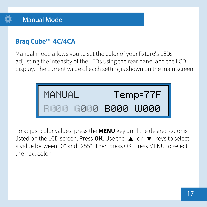

# **Braq Cube™ 4C/4CA**

Manual mode allows you to set the color of your fixture's LEDs adjusting the intensity of the LEDs using the rear panel and the LCD display. The current value of each setting is shown on the main screen.

| MANUAL |       | Temp=77F |           |
|--------|-------|----------|-----------|
| R000.  | -6000 |          | B000 W000 |

To adjust color values, press the **MENU** key until the desired color is listed on the LCD screen. Press  $OK$ . Use the  $\triangle$  or  $\nabla$  keys to select a value between "0" and "255". Then press OK. Press MENU to select the next color.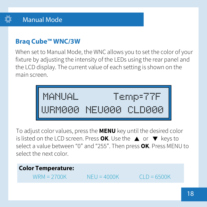

# **Braq Cube™ WNC/3W**

When set to Manual Mode, the WNC allows you to set the color of your fixture by adjusting the intensity of the LEDs using the rear panel and the LCD display. The current value of each setting is shown on the main screen.



To adjust color values, press the **MENU** key until the desired color is listed on the LCD screen. Press  $OK$ . Use the  $\triangle$  or  $\nabla$  keys to select a value between "0" and "255". Then press **OK**. Press MENU to select the next color.

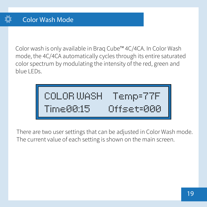Color wash is only available in Braq Cube™ 4C/4CA. In Color Wash mode, the 4C/4CA automatically cycles through its entire saturated color spectrum by modulating the intensity of the red, green and blue LEDs.

COLOR WASH Temp=77F Time00:15 Offset=000

There are two user settings that can be adjusted in Color Wash mode. The current value of each setting is shown on the main screen.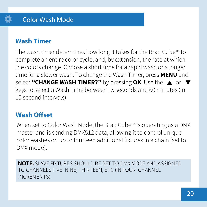# **Wash Timer**

The wash timer determines how long it takes for the Braq Cube™ to complete an entire color cycle, and, by extension, the rate at which the colors change. Choose a short time for a rapid wash or a longer time for a slower wash. To change the Wash Timer, press **MENU** and select "CHANGE WASH TIMER?" by pressing OK. Use the  $\triangle$  or  $\nabla$ keys to select a Wash Time between 15 seconds and 60 minutes (in 15 second intervals).

# **Wash Offset**

When set to Color Wash Mode, the Braq Cube™ is operating as a DMX master and is sending DMX512 data, allowing it to control unique color washes on up to fourteen additional fixtures in a chain (set to DMX mode).

**NOTE:** SLAVE FIXTURES SHOULD BE SET TO DMX MODE AND ASSIGNED TO CHANNELS FIVE, NINE, THIRTEEN, ETC (IN FOUR CHANNEL INCREMENTS).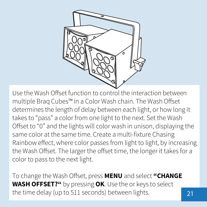

Use the Wash Offset function to control the interaction between multiple Braq Cubes™ in a Color Wash chain. The Wash Offset determines the length of delay between each light, or how long it takes to "pass" a color from one light to the next. Set the Wash Offset to "0" and the lights will color wash in unison, displaying the same color at the same time. Create a multi-fixture Chasing Rainbow effect, where color passes from light to light, by increasing the Wash Offset. The larger the offset time, the longer it takes for a color to pass to the next light.

To change the Wash Offset, press **MENU** and select "CHANGE **WASH OFFSET?"** by pressing **OK**. Use the or keys to select the time delay (up to 511 seconds) between lights.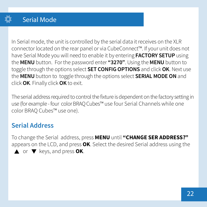In Serial mode, the unit is controlled by the serial data it receives on the XLR connector located on the rear panel or via CubeConnect™. If your unit does not have Serial Mode you will need to enable it by entering **FACTORY SETUP** using the **MENU** button. For the password enter **"3270"**. Using the **MENU** button to toggle through the options select **SET CONFIG OPTIONS** and click **OK**. Next use the **MENU** button to toggle through the options select **SERIAL MODE ON** and click **OK**. Finally click **OK** to exit.

The serial address required to control the fixture is dependent on the factory setting in use (for example - four color BRAQ Cubes™ use four Serial Channels while one color BRAQ Cubes™ use one).

# **Serial Address**

To change the Serial address, press **MENU** until **"CHANGE SER ADDRESS?"** appears on the LCD, and press **OK**. Select the desired Serial address using the  $\triangle$  or  $\nabla$  keys, and press **OK**.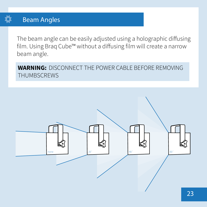## **Beam Angles**

The beam angle can be easily adjusted using a holographic diffusing film. Using Braq Cube™ without a diffusing film will create a narrow beam angle.

**WARNING: DISCONNECT THE POWER CABLE BEFORE REMOVING THUMBSCREWS** 

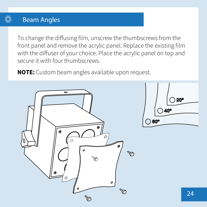## Beam Angles

To change the diffusing film, unscrew the thumbscrews from the front panel and remove the acrylic panel. Replace the existing film with the diffuser of your choice. Place the acrylic panel on top and secure it with four thumbscrews.

**NOTE:** Custom beam angles available upon request.

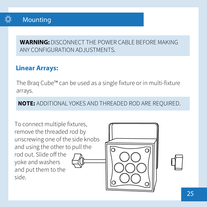

## Mounting

**WARNING:**DISCONNECT THE POWER CABLE BEFORE MAKING ANY CONFIGURATION ADJUSTMENTS.

# **Linear Arrays:**

The Braq Cube™ can be used as a single fixture or in multi-fixture arrays.

**NOTE:** ADDITIONAL YOKES AND THREADED ROD ARE REQUIRED.

To connect multiple fixtures, remove the threaded rod by unscrewing one of the side knobs and using the other to pull the rod out. Slide off the yoke and washers and put them to the side.

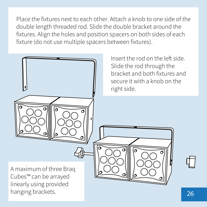Place the fixtures next to each other. Attach a knob to one side of the double length threaded rod. Slide the double bracket around the fixtures. Align the holes and position spacers on both sides of each fixture (do not use multiple spacers between fixtures).

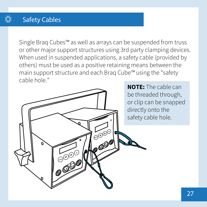# Safety Cables

Single Braq Cubes™ as well as arrays can be suspended from truss or other major support structures using 3rd party clamping devices. When used in suspended applications, a safety cable (provided by others) must be used as a positive retaining means between the main support structure and each Braq Cube™ using the "safety cable hole."

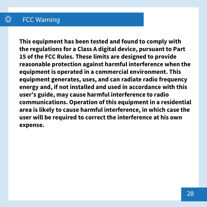# FCC Warning

**This equipment has been tested and found to comply with the regulations for a Class A digital device, pursuant to Part 15 of the FCC Rules. These limits are designed to provide reasonable protection against harmful interference when the equipment is operated in a commercial environment. This equipment generates, uses, and can radiate radio frequency energy and, if not installed and used in accordance with this user's guide, may cause harmful interference to radio communications. Operation of this equipment in a residential area is likely to cause harmful interference, in which case the user will be required to correct the interference at his own expense.**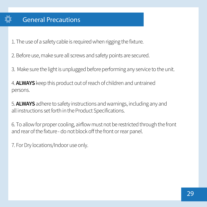1. The use of a safety cable is required when rigging the fixture.

2. Before use, make sure all screws and safety points are secured.

3. Make sure the light is unplugged before performing any service to the unit.

4. **ALWAYS** keep this product out of reach of children and untrained persons.

5. **ALWAYS** adhere to safety instructions and warnings, including any and all instructions set forth in the Product Specifications.

6. To allow for proper cooling, airflow must not be restricted through the front and rear of the fixture - do not block off the front or rear panel.

7. For Dry locations/Indoor use only.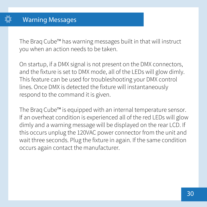The Braq Cube™ has warning messages built in that will instruct you when an action needs to be taken.

On startup, if a DMX signal is not present on the DMX connectors, and the fixture is set to DMX mode, all of the LEDs will glow dimly. This feature can be used for troubleshooting your DMX control lines. Once DMX is detected the fixture will instantaneously respond to the command it is given.

The Braq Cube™ is equipped with an internal temperature sensor. If an overheat condition is experienced all of the red LEDs will glow dimly and a warning message will be displayed on the rear LCD. If this occurs unplug the 120VAC power connector from the unit and wait three seconds. Plug the fixture in again. If the same condition occurs again contact the manufacturer.